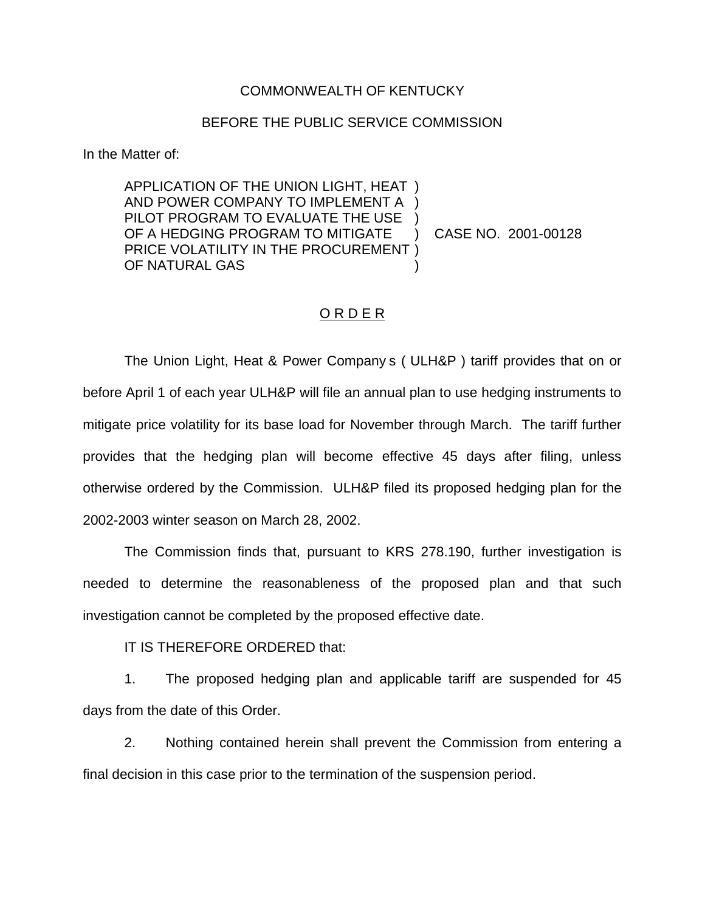## COMMONWEALTH OF KENTUCKY

## BEFORE THE PUBLIC SERVICE COMMISSION

In the Matter of:

APPLICATION OF THE UNION LIGHT, HEAT ) AND POWER COMPANY TO IMPLEMENT A ) PILOT PROGRAM TO EVALUATE THE USE OF A HEDGING PROGRAM TO MITIGATE ) CASE NO. 2001-00128 PRICE VOLATILITY IN THE PROCUREMENT ) OF NATURAL GAS )

## O R D E R

The Union Light, Heat & Power Company s ( ULH&P ) tariff provides that on or before April 1 of each year ULH&P will file an annual plan to use hedging instruments to mitigate price volatility for its base load for November through March. The tariff further provides that the hedging plan will become effective 45 days after filing, unless otherwise ordered by the Commission. ULH&P filed its proposed hedging plan for the 2002-2003 winter season on March 28, 2002.

The Commission finds that, pursuant to KRS 278.190, further investigation is needed to determine the reasonableness of the proposed plan and that such investigation cannot be completed by the proposed effective date.

IT IS THEREFORE ORDERED that:

1. The proposed hedging plan and applicable tariff are suspended for 45 days from the date of this Order.

2. Nothing contained herein shall prevent the Commission from entering a final decision in this case prior to the termination of the suspension period.